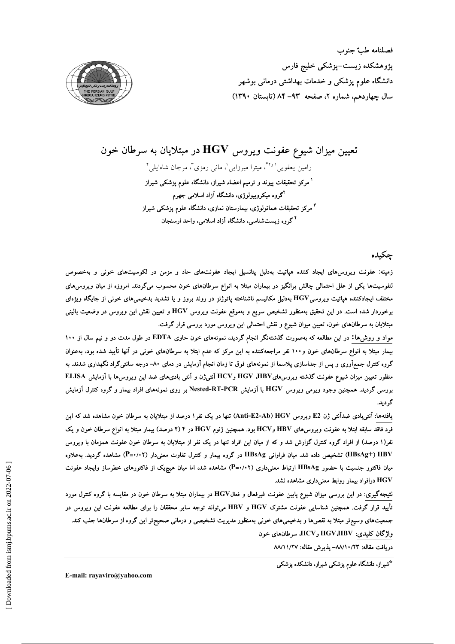فصلنامه طب جنوب پژوهشکده زیست–پزشکی خلیج فارس دانشگاه علوم پزشکی و خدمات بهداشتی درمانی بوشهر سال چهاردهم، شماره ۲، صفحه ۹۳-۸۴ (تابستان ۱۳۹۰)



# تعیین میزان شیوع عفونت ویروس  ${\bf HGV}$  در مبتلایان به سرطان خون

رامین یعقوبی<sup>٬ ۲۶</sup>ٌ، میترا میرزایی<sup>٬</sup>، مانی رمزی<sup>۳</sup>، مرجان شاهایلی ٔ <sup>۱</sup> مرکز تحقیقات پیوند و ترمیم اعضاء شیراز، دانشگاه علوم یزشکی شیراز <sup>۲</sup>گروه میکروبیولوژی، دانشگاه آزاد اسلامی جهرم <sup>۳</sup> مرکز تحقیقات هماتولوژی، بیمارستان نمازی، دانشگاه علوم پزشک*ی* شیراز <sup>۴</sup> گروه زیستشناسی، دانشگاه آزاد اسلامی، واحد ارسنجان

## چكىدە

زمینه: عفونت ویروس،های ایجاد کننده هپاتیت بهدلیل پتانسیل ایجاد عفونتهای حاد و مزمن در لکوسیتهای خونی و بهخصوص لنفوسیتها یکی از علل احتمالی چالش برانگیز در بیماران مبتلا به انواع سرطانهای خون محسوب میگردند. امروزه از میان ویروس،های مختلف ایجادکننده هپاتیت ویروسیHGV بهدلیل مکانیسم ناشناخته پاتوژنز در روند بروز و یا تشدید بدخیمیهای خونی از جایگاه ویژهای برخوردار شده است. در این تحقیق بهمنظور تشخیص سریع و بهموقع عفونت ویروس HGV و تعیین نقش این ویروس در وضعیت بالینی مبتلایان به سرطانهای خون، تعیین میزان شیوع و نقش احتمالی این ویروس مورد بررسی قرار گرفت.

مواد و روش۵۱: در این مطالعه که بهصورت گذشتهنگر انجام گردید، نمونههای خون حاوی EDTA در طول مدت دو و نیم سال از ۱۰۰ بیمار مبتلا به انواع سرطانهای خون و۱۰۰ نفر مراجعهکننده به این مرکز که عدم ابتلا به سرطانهای خونی در آنها تأیید شده بود، بهعنوان گروه کنترل جمعآوری و پس از جداسازی پلاسما از نمونههای فوق تا زمان انجام آزمایش در دمای ۸۰– درجه سانتیگراد نگهداری شدند. به منظور تعیین میزان شیوع عفونت گذشته ویروس هایHGV وHGV وHGV آنتیژن و آنتی بادی های ضد این ویروس ها با آزمایش ELISA بررسی گردید. همچنین وجود ویرمی ویروس HGV با آزمایش Nested-RT-PCR بر روی نمونههای افراد بیمار و گروه کنترل آزمایش گر دید.

یافتهها: آنتی بادی ضدآنتی ژن E2 ویروس HGV (Anti-E2-Ab) تنها در یک نفر ۱ درصد از مبتلایان به سرطان خون مشاهده شد که این فرد فاقد سابقه ابتلا به عفونت ويروس&ی HBV وHCV بود. همچنین ژنوم HGV در ۴ (۴ درصد) بیمار مبتلا به انواع سرطان خون و یک نفر(۱ درصد) از افراد گروه کنترل گزارش شد و که از میان این افراد تنها در یک نفر از مبتلایان به سرطان خون عفونت همزمان با ویروس HBsAg+) HBV) تشخیص داده شد. میان فراوانی HBsAg در گروه بیمار و کنترل تفاوت معنیدار (۲+/۰+P) مشاهده گردید. بهعلاوه میان فاکتور جنسیت با حضور HBsAg ارتباط معنیداری (۲+/+=P) مشاهده شد، اما میان هیچپیک از فاکتورهای خطرساز وایجاد عفونت HGV درافراد بیمار روابط معنیداری مشاهده نشد.

نتیجهگیری: در این بررسی میزان شیوع پایین عفونت غیرفعال و فعالHGV در بیماران مبتلا به سرطان خون در مقایسه با گروه کنترل مورد تأييد قرار گرفت. همچنين شناسايي عفونت مشترک HGV و HBV ميتواند توجه ساير محققان را براي مطالعه عفونت اين ويروس در جمعیتهای وسیعتر مبتلا به نقصرها و بدخیمیهای خونی بهمنظور مدیریت تشخیصی و درمانی صحیحتر این گروه از سرطانها جلب کند. واژگان کلیدی: HGV،HBV وHCV، سرطانهای خون

دريافت مقاله: ٨٨/١٠/٢٣- پذيرش مقاله: ٨٨/١١/٢٧

\*شیراز، دانشگاه علوم پزشکی شیراز، دانشکده پزشکی

E-mail: ravaviro@vahoo.com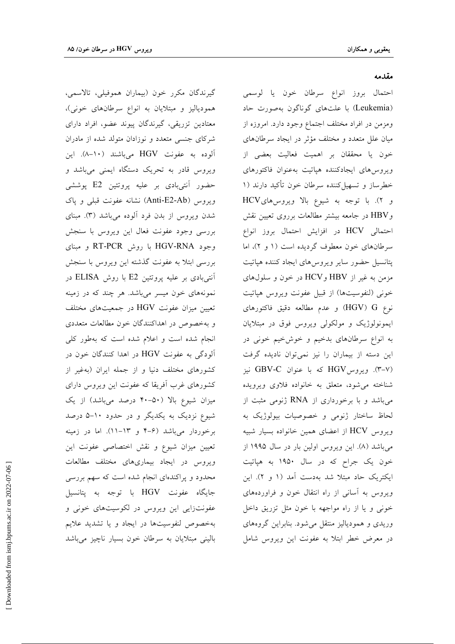گيرندگان مكرر خون (بيماران هموفيلي، تالاسمي، همودیالیز و مبتلایان به انواع سرطانهای خونی)، معتادین تزریقی، گیرندگان پیوند عضو، افراد دارای شرکای جنسی متعدد و نوزادان متولد شده از مادران آلوده به عفونت HGV میباشند (۱۰–۸). این ویروس قادر به تحریک دستگاه ایمنی میباشد و حضور آنتیبادی بر علیه پروتئین E2 پوششی ويروس (Anti-E2-Ab) نشانه عفونت قبلي و ياك شدن ویروس از بدن فرد آلوده میباشد (۳). مبنای بررسی وجود عفونت فعال این ویروس با سنجش وجود HGV-RNA با روش RT-PCR و مبناى بررسی ابتلا به عفونت گذشته این ویروس با سنجش آنتیبادی بر علیه پروتئین E2 با روش ELISA در نمونههای خون میسر میباشد. هر چند که در زمینه تعیین میزان عفونت HGV در جمعیتهای مختلف و بهخصوص در اهداكنندگان خون مطالعات متعددي انجام شده است و اعلام شده است که بهطور کلی آلودگی به عفونت HGV در اهدا کنندگان خون در کشورهای مختلف دنیا و از جمله ایران (بهغیر از کشورهای غرب آفریقا که عفونت این ویروس دارای میزان شیوع بالا (۵۰-۴۰ درصد میباشد) از یک شیوع نزدیک به یکدیگر و در حدود ۱۰–۵ درصد برخوردار میباشد (۶-۴ و ۱۳-۱۱). اما در زمینه تعیین میزان شیوع و نقش اختصاصی عفونت این ویروس در ایجاد بیماریهای مختلف مطالعات محدود و پراکندهای انجام شده است که سهم بررسی جايگاه عفونت HGV با توجه به پتانسيل عفونتزایی این ویروس در لکوسیتهای خونی و بهخصوص لنفوسيتها در ايجاد ويا تشديد علايم بالینی مبتلایان به سرطان خون بسیار ناچیز میباشد

#### مقدمه

احتمال بروز انواع سرطان خون يا لوسمي (Leukemia) با علتهای گوناگون بهصورت حاد ومزمن در افراد مختلف اجتماع وجود دارد. امروزه از میان علل متعدد و مختلف مؤثر در ایجاد سرطانهای خون يا محققان بر اهميت فعاليت بعضي از ويروس هاى ايجادكننده هياتيت بهعنوان فاكتورهاى خطرساز و تسهیل کننده سرطان خون تأکید دارند (۱ و ٢). با توجه به شيوع بالا ويروس هاىHCV وHBV در جامعه بيشتر مطالعات برروى تعيين نقش احتمالی HCV در افزایش احتمال بروز انواع سرطانهای خون معطوف گردیده است (۱ و ۲)، اما پتانسیل حضور سایر ویروس۵لی ایجاد کننده هپاتیت مزمن به غیر از HBV وHCV در خون و سلولهای خونی (لنفوسیتها) از قبیل عفونت ویروس هپاتیت نوع HGV) G) و عدم مطالعه دقیق فاکتورهای ایمونولوژیک و مولکولی ویروس فوق در مبتلایان به انواع سرطانهای بدخیم و خوشخیم خونی در این دسته از بیماران را نیز نمیتوان نادیده گرفت (۳-۷). ویروسKGV که با عنوان GBV-C نیز شناخته می شود، متعلق به خانواده فلاوی ویرویده می باشد و با برخورداری از RNA ژنومی مثبت از لحاظ ساختار ژنومی و خصوصیات بیولوژیک به ويروس HCV از اعضاي همين خانواده بسيار شبيه میباشد (۸). این ویروس اولین بار در سال ۱۹۹۵ از خون یک جراح که در سال ۱۹۵۰ به هپاتیت ایکتریک حاد مبتلا شد بهدست آمد (۱ و ۲). این ویروس به آسانی از راه انتقال خون و فراوردههای خونی و یا از راه مواجهه با خون مثل تزریق داخل وریدی و همودیالیز منتقل میشود. بنابراین گروههای در معرض خطر ابتلا به عفونت این ویروس شامل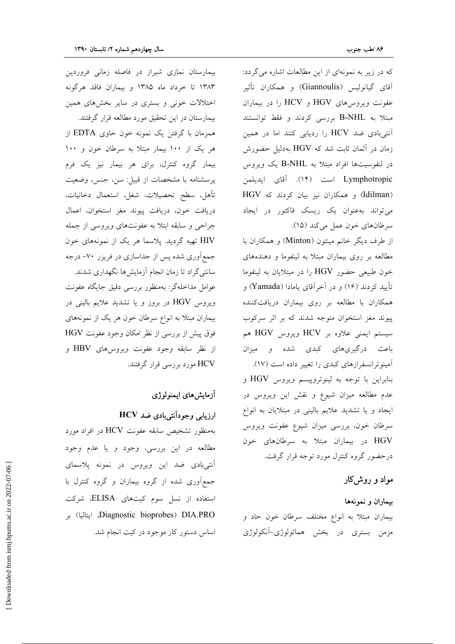که در زیر به نمونهای از این مطالعات اشاره می گردد: آقای گیانولیس (Giannoulis) و همکاران تأثیر عفونت ويروس هاى HGV و HCV را در بيماران مبتلا به B-NHL بررسی کردند و فقط توانستند آنتیبادی ضد HCV را ردیابی کنند اما در همین زمان در آلمان ثابت شد که HGV بهدلیل حضورش در لنفوسیتها افراد مبتلا به B-NHL یک ویروس Lymphotropic است (١۴). آقای ایدیلمن (Idilman) و همكاران نيز بيان كردند كه HGV می تواند به عنوان یک ریسک فاکتور در ایجاد سرطانهای خون عمل میکند (۱۵).

از طرف دیگر خانم مینتون (Minton) و همکاران با مطالعه بر روی بیماران مبتلا به لینفوما و دهندههای خون طبیعی حضور HGV را در مبتلایان به لینفوما تأييد كردند (١۶) و در آخرآقای يامادا (Yamada) و همکاران با مطالعه بر روی بیماران دریافتکننده پیوند مغز استخوان متوجه شدند که بر اثر سرکوب سیستم ایمنی علاوه بر HCV ویروس HGV هم باعث درگیریهای کبدی شده و میزان آمینوترانسفرازهای کبدی را تغییر داده است (۱۷). بنابراین با توجه به لینوتروپیسم ویروس HGV و عدم مطالعه میزان شیوع و نقش این ویروس در ایجاد و یا تشدید علایم بالینی در مبتلایان به انواع سرطان خون، بررسی میزان شیوع عفونت ویروس HGV در بیماران مبتلا به سرطانهای خون درحضور گروه کنترل مورد توجه قرار گرفت.

## مواد و روشکار

# بیماران و نمونهها بیماران مبتلا به انواع مختلف سرطان خون حاد و مزمن بستری در بخش هماتولوژی-آنکولوژی

بیمارستان نمازی شیراز در فاصله زمانی فروردین ۱۳۸۳ تا خرداد ماه ۱۳۸۵ و بیماران فاقد هرگونه اختلالات خونی و بستری در سایر بخشهای همین

بیمارستان در این تحقیق مورد مطالعه قرار گرفتند. همزمان با گرفتن یک نمونه خون حاوی EDTA از هر یک از ۱۰۰ بیمار مبتلا به سرطان خون و ۱۰۰ بیمار گروه کنترل، برای هر بیمار نیز یک فرم پرسشنامه با مشخصات از قبیل: سن، جنس، وضعیت تأهل، سطح تحصيلات، شغل، استعمال دخانيات، دريافت خون، دريافت پيوند مغز استخوان، اعمال جراحی و سابقه ابتلا به عفونتهای ویروسی از جمله HIV تهیه گردید. پلاسما هر یک از نمونههای خون جمع آوری شده پس از جداسازی در فریزر ۷۰– درجه سانتی گراد تا زمان انجام آزمایش ها نگهداری شدند. عوامل مداخلهگر: بهمنظور بررسی دقیق جایگاه عفونت ویروس HGV در بروز و یا تشدید علایم بالینی در بیماران مبتلا به انواع سرطان خون هر یک از نمونههای فوق پیش از بررسی از نظر امکان وجود عفونت HGV از نظر سابقه وجود عفونت ویروس های HBV و HCV مورد بررسی قرار گرفتند.

## أزمايشهاى ايمنولوژى

#### ارزیابی وجودآنتی بادی ضد HCV

بهمنظور تشخیص سابقه عفونت HCV در افراد مورد مطالعه در این بررسی، وجود و یا عدم وجود آنتیبادی ضد این ویروس در نمونه پلاسمای جمع آوری شده از گروه بیماران و گروه کنترل با استفاده از نسل سوم کیتهای ELISA، شرکت Diagnostic bioprobes) DIA.PRO. ايتاليا) بر اساس دستور کار موجود در کیت انجام شد.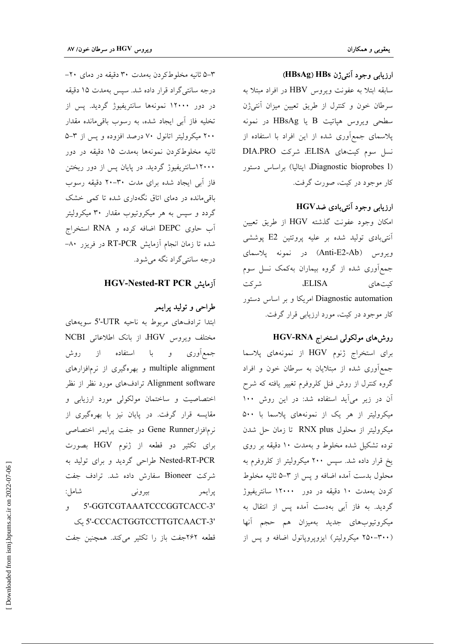#### ارزيابي وجود آنتي ژن HBsAg) HBs)

سابقه ابتلا به عفونت ويروس HBV در افراد مبتلا به سرطان خون و كنترل از طريق تعيين ميزان آنتي ژن سطحی ویروس هپاتیت B یا HBsAg در نمونه پلاسمای جمعآوری شده از این افراد با استفاده از نسل سوم كيتهاى ELISA، شركت DIA.PRO (Diagnostic bioprobes 1، ايتاليا) براساس دستور کار موجود در کیت، صورت گرفت.

#### ارزيابي وجود آنتي بادي ضدHGV

امکان وجود عفونت گذشته HGV از طریق تعیین آنتی بادی تولید شده بر علیه پروتئین E2 پوششی ويروس (Anti-E2-Ab) در نمونه پلاسمای جمع آوری شده از گروه بیماران بهکمک نسل سوم **ELISA** شر کت كيت هاي Diagnostic automation امریکا و بر اساس دستور کار موجود در کیت، مورد ارزیابی قرار گرفت.

## روش های مولکولی استخراج HGV-RNA

برای استخراج ژنوم HGV از نمونههای پلاسما جمع آوری شده از مبتلایان به سرطان خون و افراد گروه کنترل از روش فنل کلروفرم تغییر یافته که شرح آن در زیر می آید استفاده شد: در این روش ۱۰۰ میکرولیتر از هر یک از نمونههای پلاسما با ۵۰۰ میکرولیتر از محلول RNX plus تا زمان حل شدن توده تشکیل شده مخلوط و بهمدت ۱۰ دقیقه بر روی یخ قرار داده شد. سپس ۲۰۰ میکرولیتر از کلروفرم به محلول بدست اَمده اضافه و پس از ۳–۵ ثانیه مخلوط کردن بهمدت ۱۰ دقیقه در دور ۱۲۰۰۰ سانتریفیوژ گردید. به فاز آبی بهدست آمده پس از انتقال به ميكروتيوبهاي جديد بهميزان هم حجم آنها (۳۰۰–۲۵۰ میکرولیتر) ایزوپروپانول اضافه و پس از

۰۳–۵ ثانیه مخلوطکردن بهمدت ۳۰ دقیقه در دمای ۲۰-درجه سانتی گراد قرار داده شد. سیس بهمدت ۱۵ دقیقه در دور ۱۲۰۰۰ نمونهها سانتریفیوژ گردید. پس از تخليه فاز آبي ايجاد شده، به رسوب باقيءانده مقدار ۲۰۰ میکرولیتر اتانول ۷۰ درصد افزوده و پس از ۳-۵ ثانيه مخلوطكردن نمونهها بهمدت ١۵ دقيقه در دور ۱۲۰۰۰اسانتریفیوژ گردید. در پایان پس از دور ریختن فاز آبی ایجاد شده برای مدت ۳۰-۲۰ دقیقه رسوب باقی مانده در دمای اتاق نگهداری شده تا کمی خشک گردد و سپس به هر میکروتیوب مقدار ۳۰ میکرولیتر آب حاوی DEPC اضافه کرده و RNA استخراج شده تا زمان انجام آزمایش RT-PCR در فریزر ۸۰– درجه سانتي گراد نگه مي شود.

## آزمایش HGV-Nested-RT PCR

### طراحي و توليد پرايمر

ابتدا ترادفهای مربوط به ناحیه UTR-'5 سویههای MGV از بانک اطلاعاتی NCBI جمع[وری و با استفاده از روش multiple alignment و بهرهگیری از نرمافزارهای Alignment software ترادفهای مورد نظر از نظر اختصاصیت و ساختمان مولکولی مورد ارزیابی و مقایسه قرار گرفت. در پایان نیز با بهرهگیری از نرمافزارGene Runner دو جفت پرایمر اختصاصی برای تکثیر دو قطعه از ژنوم HGV بصورت Nested-RT-PCR طراحی گردید و برای تولید به شركت Bioneer سفارش داده شد. ترادف جفت شامل: بيروني پرايمر , 5'-GGTCGTAAATCCCGGTCACC-3' '5'-CCCACTGGTCCTTGTCAACT-3 قطعه ٢۶٢جفت باز را تكثير مي كند. همچنين جفت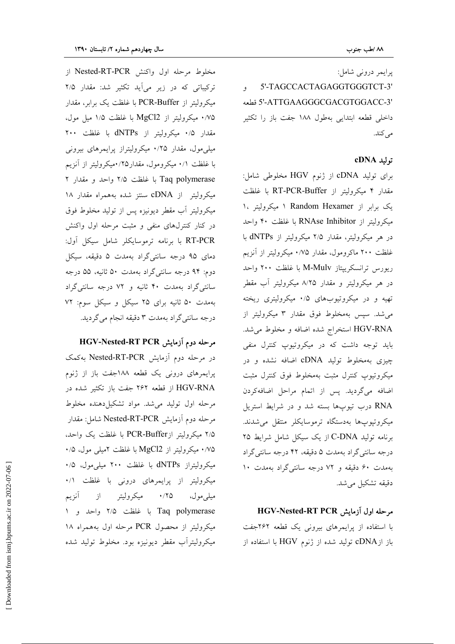پرايمر درونې شامل:

5'-TAGCCACTAGAGGTGGGTCT-3' '5'-ATTGAAGGGCGACGTGGACC-3 قطعه داخلی قطعه ابتدایی بهطول ۱۸۸ جفت باز را تکثیر مى كند.

#### توليد cDNA

برای تولید cDNA از ژنوم HGV مخلوطی شامل: مقدار ۴ میکرولیتر از RT-PCR-Buffer با غلظت یک برابر از Random Hexamer ۱ میکرولیتر ۱، میکرولیتر از RNAse Inhibitor با غلظت ۴۰ واحد در هر میکرولیتر، مقدار ۲/۵ میکرولیتر از dNTPs با غلظت ۲۰۰ ماکرومول، مقدار ۰/۷۵ میکرولیتر از آنزیم ریورس ترانسکریپتاز M-Mulv با غلظت ۲۰۰ واحد در هر میکرولیتر و مقدار ۸/۲۵ میکرولیتر آب مقطر تهیه و در میکروتیوبهای ۰/۵ میکرولیتری ریخته می شد. سیس بهمخلوط فوق مقدار ۳ میکرولیتر از HGV-RNA استخراج شده اضافه و مخلوط می شد. باید توجه داشت که در میکروتیوپ کنترل منفی چیزی بهمخلوط تولید cDNA اضافه نشده و در میکروتیوپ کنترل مثبت بهمخلوط فوق کنترل مثبت اضافه میگردید. پس از اتمام مراحل اضافهکردن RNA درب تیوبها بسته شد و در شرایط استریل میکروتیوپها بهدستگاه ترموسایکلر منتقل می شدند. برنامه تولید C-DNA از یک سیکل شامل شرایط ۲۵ درجه سانتي گراد بهمدت ۵ دقيقه، ۴۲ درجه سانتي گراد بهمدت ۶۰ دقیقه و ۷۲ درجه سانتی گراد بهمدت ۱۰ دقيقه تشكيل مي شد.

#### مرحله اول آزمایش HGV-Nested-RT PCR

با استفاده از پرایمرهای بیرونی یک قطعه ۲۶۲جفت باز از $\rm{DNA}$  تولید شده از ژنوم  $\rm{HGV}$  با استفاده از

مخلوط مرحله اول واكنش Nested-RT-PCR از ترکیباتی که در زیر می آید تکثیر شد: مقدار ۲/۵ میکرولیتر از PCR-Buffer با غلظت یک برابر، مقدار ۰/۷۵ میکرولیتر از MgCl2 با غلظت ۱/۵ میل مول، مقدار ۰/۵ میکرولیتر از dNTPs با غلظت ۲۰۰ میلی مول، مقدار ۰/۲۵ میکرولیتراز پرایمرهای بیرونی با غلظت ٠/١ ميكرومول، مقدار١٢٥/ميكروليتر از آنزيم Taq polymerase با غلظت ۲/۵ واحد و مقدار ۲ میکرولیتر از cDNA سنتز شده بههمراه مقدار ۱۸ میکرولیتر آب مقطر دیونیزه پس از تولید مخلوط فوق در کنار کنترلهای منفی و مثبت مرحله اول واکنش RT-PCR با برنامه ترموسايكلر شامل سيكل آول: دمای ۹۵ درجه سانتی گراد بهمدت ۵ دقیقه، سیکل دوم: ۹۴ درجه سانتیگراد بهمدت ۵۰ ثانیه، ۵۵ درجه سانتیگراد بهمدت ۴۰ ثانیه و ۷۲ درجه سانتیگراد بهمدت ۵۰ ثانیه برای ۲۵ سیکل و سیکل سوم: ۷۲ درجه سانتي گراد بهمدت ٣ دقيقه انجام مي گرديد.

AdV-Nested-RT PCR مرحله دوم آزمایش در مرحله دوم آزمایش Nested-RT-PCR بهکمک پرایمرهای درونی یک قطعه ۱۸۸جفت باز از ژنوم HGV-RNA از قطعه ۲۶۲ جفت باز تکثیر شده در مرحله اول تولید می شد. مواد تشکیل دهنده مخلوط مرحله دوم آزمایش Nested-RT-PCR شامل: مقدار ۲/۵ میکرولیتر ازPCR-Buffer با غلظت یک واحد، ۰/۷۵ میکرولیتر از MgCl2 با غلظت ۲میل<sub>ی</sub> مول، ۰/۵ میکرولیتراز dNTPs با غلظت ۲۰۰ میل<sub>ی</sub>مول، ۰/۵ میکرولیتر از پرایمرهای درونی با غلظت ۰/۱ ۲۵/۰ میکرولیتر از آنزیم ميلي مول، Taq polymerase با غلظت ۲/۵ واحد و ۱ میکرولیتر از محصول PCR مرحله اول بههمراه ۱۸ میکرولیترأب مقطر دیونیزه بود. مخلوط تولید شده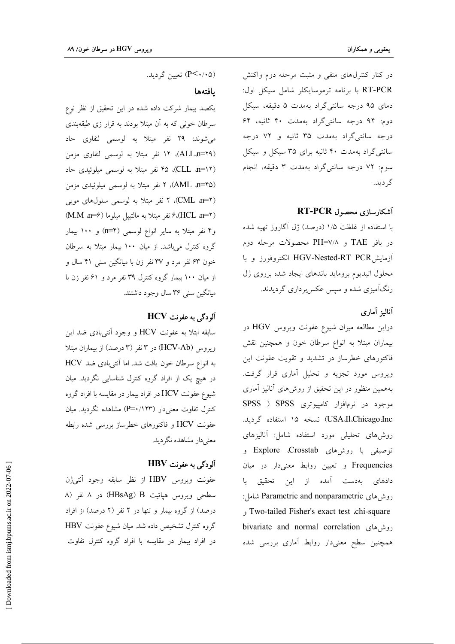در کنار کنترل های منفی و مثبت مرحله دوم واکنش RT-PCR با برنامه ترموسايكلر شامل سيكل اول: دمای ۹۵ درجه سانتی گراد بهمدت ۵ دقیقه، سیکل دوم: ۹۴ درجه سانتیگراد بهمدت ۴۰ ثانیه، ۶۴ درجه سانتیگراد بهمدت ۳۵ ثانیه و ۷۲ درجه سانتی گراد بهمدت ۴۰ ثانیه برای ۳۵ سیکل و سیکل سوم: ۷۲ درجه سانتیگراد بهمدت ۳ دقیقه، انجام گر دید.

#### آشکارسازی محصول RT-PCR

با استفاده از غلظت ۱/۵ (درصد) ژل آگاروز تهیه شده در بافر TAE و PH=۷/۸ محصولات مرحله دوم آزمايشHGV-Nested-RT PCR الكتروفورز وبا محلول اتیدیوم بروماید باندهای ایجاد شده برروی ژل رنگآمیزی شده و سپس عکس برداری گردیدند.

### آناليز آمارى

دراین مطالعه میزان شیوع عفونت ویروس HGV در بیماران مبتلا به انواع سرطان خون و همچنین نقش فاکتورهای خطرساز در تشدید و تقویت عفونت این ویروس مورد تجزیه و تحلیل آماری قرار گرفت. بههمین منظور در این تحقیق از روشهای آنالیز آماری موجود در نرمافزار کامپیوتری SPSS ( SPSS USA.Il،Chicago.Inc) نسخه ١٥ استفاده گرديد. روشهای تحلیلی مورد استفاده شامل: آنالیزهای توصیفی با روشهای Explore ،Crosstab و Frequencies و تعیین روابط معنیدار در میان دادهای بهدست آمده از این تحقیق با روش های Parametric and nonparametric شامل: Two-tailed Fisher's exact test .chi-square bivariate and normal correlation روش های همچنین سطح معنیدار روابط آماری بررسی شده

(P<۰/۰۵) تعیین گردید.

#### بافتهها

یکصد بیمار شرکت داده شده در این تحقیق از نظر نوع سرطان خونی که به آن مبتلا بودند به قرار زی طبقهبندی می شوند: ۲۹ نفر مبتلا به لوسمی لنفاوی حاد (ALL.n=۲۹)، ۱۲ نفر مبتلا به لوسمي لنفاوي مزمن (CLL n=۱۲)، ۴۵ نفر مبتلا به لوسمی میلوئیدی حاد (AML a=\*0)، ۲ نفر مبتلا به لوسمی میلوئیدی مزمن (CML n=۲)، ۲ نفر مبتلا به لوسمی سلولهای مویی (HCL n=۲)، نفر مبتلا به مالتييل ميلوما (M.M n=۶) و۴ نفر مبتلا به سایر انواع لوسمی (n=۴) و ۱۰۰ بیمار گروه کنترل می باشد. از میان ۱۰۰ بیمار مبتلا به سرطان خون ۶۳ نفر مرد و ۳۷ نفر زن با میانگین سنی ۴۱ سال و از میان ۱۰۰ بیمار گروه کنترل ۳۹ نفر مرد و ۶۱ نفر زن با میانگین سنی ۳۶ سال وجود داشتند.

### $HCV$ آلودگی به عفونت

سابقه ابتلا به عفونت HCV و وجود أنتي بادي ضد اين ویروس (HCV-Ab) در ۳ نفر (۳ درصد) از بیماران مبتلا به انواع سرطان خون يافت شد. اما آنتي بادي ضد HCV در هیچ یک از افراد گروه کنترل شناسایی نگردید. میان شیوع عفونت HCV در افراد بیمار در مقایسه با افراد گروه کنترل تفاوت معنیدار (P=۰/۱۲۳) مشاهده نگردید. میان عفونت HCV و فاکتورهای خطرساز بررسی شده رابطه معنے دار مشاهده نگردید.

### آلودگی به عفونت HBV

عفونت ويروس HBV از نظر سابقه وجود أنتىژن سطحی ویروس هپاتیت HBsAg) B) در ۸ نفر (۸ درصد) از گروه بیمار و تنها در ۲ نفر (۲ درصد) از افراد گروه کنترل تشخیص داده شد. میان شیوع عفونت HBV در افراد بیمار در مقایسه با افراد گروه کنترل تفاوت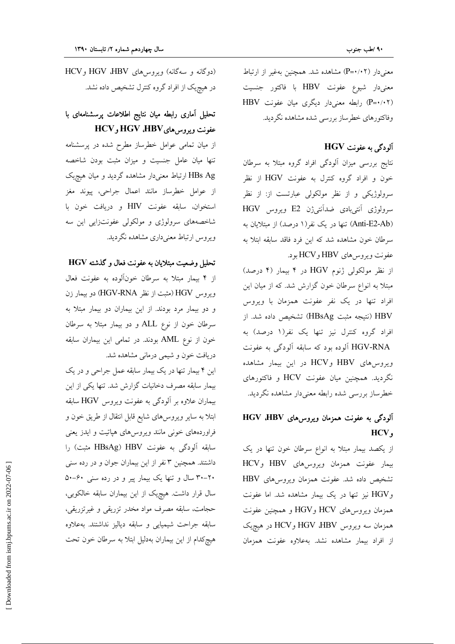معنیدار (P=۰/۰۲) مشاهده شد. همچنین بهغیر از ارتباط معنیدار شیوع عفونت HBV با فاکتور جنسیت (P=٠/٠٢) رابطه معنیدار دیگری میان عفونت HBV وفاكتورهاي خطرساز بررسي شده مشاهده نگرديد.

## آلودگی به عفونت HGV

نتایج بررسی میزان آلودگی افراد گروه مبتلا به سرطان خون و افراد گروه کنترل به عفونت HGV از نظر سرولوژیکی و از نظر مولکولی عبارتست از: از نظر سرولوژی آنتیبادی ضدآنتیژن E2 ویروس HGV (Anti-E2-Ab) تنها در یک نفر(۱ درصد) از مبتلایان به سرطان خون مشاهده شد که این فرد فاقد سابقه ابتلا به عفونت ويروس هاي HBV وHCV بود.

از نظر مولکولی ژنوم HGV در ۴ بیمار (۴ درصد) مبتلا به انواع سرطان خون گزارش شد. که از میان این افراد تنها در یک نفر عفونت همزمان با ویروس HBV (نتيجه مثبت HBsAg) تشخيص داده شد. از افراد گروه کنترل نیز تنها یک نفر(۱ درصد) به HGV-RNA ألوده بود كه سابقه ألودگي به عفونت ویروس های HBV و HCV در این بیمار مشاهده نگردید. همچنین میان عفونت HCV و فاکتورهای خطرساز بررسي شده رابطه معنىدار مشاهده نگرديد.

## آلودگی به عفونت همزمان ویروس های HGV dBV HCV,

از یکصد بیمار مبتلا به انواع سرطان خون تنها در یک بیمار عفونت همزمان ویروس های HBV وHCV تشخیص داده شد. عفونت همزمان ویروسهای HBV وHGV نیز تنها در یک بیمار مشاهده شد. اما عفونت همزمان ويروسرهاى HCV وHGV و همچنين عفونت همزمان سه ویروس HGV ،HBV و HCV در هیچیک از افراد بیمار مشاهده نشد. بهعلاوه عفونت همزمان

(دوگانه و سهگانه) ویروس های HGV HBV و HCV در هیچیک از افراد گروه کنترل تشخیص داده نشد.

## تحلیل آماری رابطه میان نتایج اطلاعات پرسشنامهای با عفونت ويروس هاى HGV ،HBV وHCV

از میان تمامی عوامل خطرساز مطرح شده در پرسشنامه تنها میان عامل جنسیت و میزان مثبت بودن شاخصه HBs Ag ارتباط معنیدار مشاهده گردید و میان هیچیک از عوامل خطرساز مانند اعمال جراحي، پيوند مغز استخوان، سابقه عفونت HIV و دريافت خون با شاخصههای سرولوژی و مولکولی عفونتزایی این سه ويروس ارتباط معنىدارى مشاهده نگرديد.

#### تحليل وضعيت مبتلايان به عفونت فعال و گذشته HGV

از ۴ بیمار مبتلا به سرطان خونآلوده به عفونت فعال ويروس HGV (مثبت از نظر HGV-RNA) دو بيمار زن و دو بیمار مرد بودند. از این بیماران دو بیمار مبتلا به سرطان خون از نوع ALL و دو بیمار مبتلا به سرطان خون از نوع AML بودند. در تمامی این بیماران سابقه دریافت خون و شیمی درمانی مشاهده شد.

این ۴ بیمار تنها در یک بیمار سابقه عمل جراحی و در یک بیمار سابقه مصرف دخانیات گزارش شد. تنها یکی از این بیماران علاوه بر آلودگی به عفونت ویروس HGV سابقه ابتلا به سایر ویروس۵ای شایع قابل انتقال از طریق خون و فراوردههای خونی مانند ویروسهای هپاتیت و ایدز یعنی سابقه آلودگی به عفونت HBsAg) HBV مثبت) را داشتند. همچنین ۳ نفر از این بیماران جوان و در رده سنی ۲۰–۳۰ سال و تنها یک بیمار پیر و در رده سنی ۶۰–۵۰ سال قرار داشت. هیچیک از این بیماران سابقه خالکوبی، حجامت، سابقه مصرف مواد مخدر تزریقی و غیرتزریقی، سابقه جراحت شيميايي و سابقه دياليز نداشتند. بهعلاوه هیچکدام از این بیماران بهدلیل ابتلا به سرطان خون تحت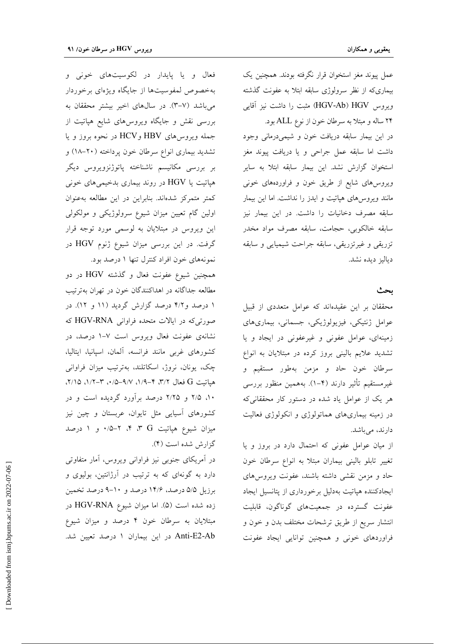عمل پیوند مغز استخوان قرار نگرفته بودند. همچنین یک بیماریکه از نظر سرولوژی سابقه ابتلا به عفونت گذشته ويروس HGV-Ab) HGV) مثبت را داشت نيز آقايي ۲۴ ساله و مبتلا به سرطان خون از نوع ALL بود. در این بیمار سابقه دریافت خون و شیمیدرمانی وجود داشت اما سابقه عمل جراحی و یا دریافت پیوند مغز استخوان گزارش نشد. این بیمار سابقه ابتلا به سایر ویروس های شایع از طریق خون و فراوردههای خونی مانند ویروس های هپاتیت و ایدز را نداشت. اما این بیمار سابقه مصرف دخانیات را داشت. در این بیمار نیز سابقه خالکوبی، حجامت، سابقه مصرف مواد مخدر تزریقی و غیرتزریقی، سابقه جراحت شیمیایی و سابقه دياليز ديده نشد.

#### بحث

محققان بر این عقیدهاند که عوامل متعددی از قبیل عوامل ژنتیکی، فیزیولوژیکی، جسمانی، بیماریهای زمینهای، عوامل عفونی و غیرعفونی در ایجاد و یا تشدید علایم بالینی بروز کرده در مبتلایان به انواع سرطان خون حاد و مزمن بهطور مستقیم و غیرمستقیم تأثیر دارند (۴–۱). بههمین منظور بررسی هر یک از عوامل یاد شده در دستور کار محققانیکه در زمینه بیماریهای هماتولوژی و انکولوژی فعالیت دارند، میباشد.

از میان عوامل عفونی که احتمال دارد در بروز و یا تغییر تابلو بالینی بیماران مبتلا به انواع سرطان خون حاد و مزمن نقشی داشته باشند، عفونت ویروسهای ایجادکننده هپاتیت بهدلیل برخورداری از پتانسیل ایجاد عفونت گسترده در جمعیتهای گوناگون، قابلیت انتشار سريع از طريق ترشحات مختلف بدن و خون و فراوردهای خونی و همچنین توانایی ایجاد عفونت

فعال و یا پایدار در لکوسیتهای خونی و بهخصوص لمفوسیتها از جایگاه ویژهای برخوردار می باشد (۳-۷). در سال های اخیر بیشتر محققان به بررسی نقش و جایگاه ویروسهای شایع هپاتیت از جمله ويروس هاى HBV وHCV در نحوه بروز و يا تشدید بیماری انواع سرطان خون پرداخته (۲۰-۱۸) و بر بررسی مکانیسم ناشناخته پاتوژنزویروس دیگر هپاتیت یا HGV در روند بیماری بدخیمیهای خونی كمتر متمركز شدهاند. بنابراين در اين مطالعه بهعنوان اولین گام تعیین میزان شیوع سرولوژیکی و مولکولی این ویروس در مبتلایان به لوسمی مورد توجه قرار گرفت. در این بررسی میزان شیوع ژنوم HGV در نمونههای خون افراد کنترل تنها ۱ درصد بود.

همچنین شیوع عفونت فعال و گذشته HGV در دو مطالعه جداگانه در اهداکنندگان خون در تهران بهترتیب ۱ درصد و۴/۲ درصد گزارش گردید (۱۱ و ۱۲). در صورتیکه در ایالات متحده فراوانی HGV-RNA که نشانهی عفونت فعال ویروس است ۷-۱ درصد، در كشورهاى غربى مانند فرانسه، آلمان، اسپانيا، ايتاليا، چک، یونان، نروژ، اسکاتلند، بهترتیب میزان فراوانی هياتيت G فعال ٣/٢، ۴–١/٩، ٩/٧–١/٥، ٣-١/٢، ٢/١٥، ۱۰، ۲/۵ و ۲/۲۵ درصد برآورد گردیده است و در کشورهای اسیایی مثل تایوان، عربستان و چین نیز میزان شیوع هپاتیت G ۳، ۳، ۲–۰/۵ و ۱ درصد گزارش شده است (۴).

در آمریکای جنوبی نیز فراوانی ویروس، آمار متفاوتی دارد به گونهای که به ترتیب در آرژانتین، بولیوی و برزیل ۵/۵ درصد، ۱۴/۶ درصد و ۱۰-۹ درصد تخمین زده شده است (۵). اما میزان شیوع HGV-RNA در مبتلایان به سرطان خون ۴ درصد و میزان شیوع Anti-E2-Ab در این بیماران ۱ درصد تعیین شد.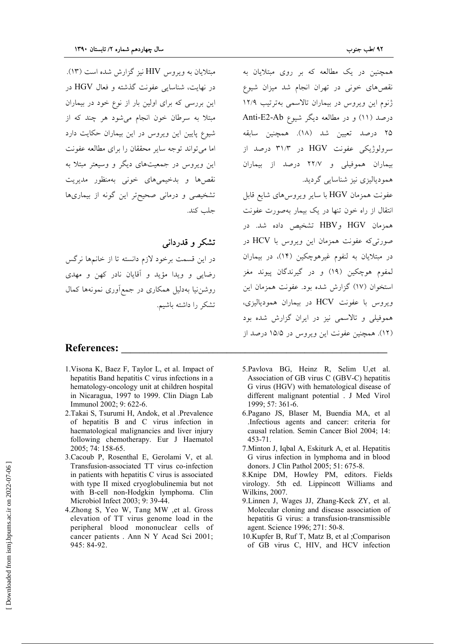مبتلایان به ویروس HIV نیز گزارش شده است (۱۳). در نهایت، شناسایی عفونت گذشته و فعال HGV در این بررسی که برای اولین بار از نوع خود در بیماران مبتلا به سرطان خون انجام می شود هر چند که از شیوع پایین این ویروس در این بیماران حکایت دارد اما می تواند توجه سایر محققان را برای مطالعه عفونت این ویروس در جمعیتهای دیگر و وسیعتر مبتلا به نقص ها و بدخیمه های خونی بهمنظور مدیریت تشخیصی و درمانی صحیحتر این گونه از بیماریها جلب كند.

## تشکر و قدردانی

در این قسمت برخود لازم دانسته تا از خانمها نرگس رضایی و ویدا مؤید و آقایان نادر کهن و مهدی روشننیا بهدلیل همکاری در جمع|وری نمونهها کمال تشكر را داشته باشيم.

#### **References:**

- 1. Visona K, Baez F, Taylor L, et al. Impact of hepatitis Band hepatitis C virus infections in a hematology-oncology unit at children hospital in Nicaragua, 1997 to 1999. Clin Diagn Lab Immunol 2002; 9: 622-6.
- 2. Takai S, Tsurumi H, Andok, et al . Prevalence of hepatitis B and C virus infection in haematological malignancies and liver injury following chemotherapy. Eur J Haematol 2005: 74: 158-65.
- 3. Cacoub P. Rosenthal E. Gerolami V. et al. Transfusion-associated TT virus co-infection in patients with hepatitis C virus is associated with type II mixed cryoglobulinemia but not with B-cell non-Hodgkin lymphoma. Clin Microbiol Infect 2003; 9: 39-44.
- 4.Zhong S, Yeo W, Tang MW ,et al. Gross elevation of TT virus genome load in the peripheral blood mononuclear cells of cancer patients . Ann N Y Acad Sci 2001; 945: 84-92.

همچنین در یک مطالعه که بر روی مبتلایان به نقص های خونی در تهران انجام شد میزان شیوع ژنوم این ویروس در بیماران تالاسمی بهترتیب ۱۲/۹ درصد (١١) و در مطالعه ديگر شيوع Anti-E2-Ab ۲۵ درصد تعیین شد (۱۸). همچنین سابقه سرولوژیکی عفونت HGV در ۳۱/۳ درصد از بیماران هموفیلی و ۲۲/۷ درصد از بیماران همودیالیزی نیز شناسایی گردید.

عفونت همزمان HGV با سایر ویروس۵ای شایع قابل انتقال از راه خون تنها در یک بیمار بهصورت عفونت همزمان HBV وHBV تشخيص داده شد. در صورتی که عفونت همزمان این ویروس با HCV در در مبتلایان به لنفوم غیرهوچکین (۱۴)، در بیماران لمفوم هوچکين (١٩) و در گيرندگان پيوند مغز استخوان (١٧) گزارش شده بود. عفونت همزمان این ویروس با عفونت HCV در بیماران همودیالیزی، هموفیلی و تالاسمی نیز در ایران گزارش شده بود (١٢). همچنین عفونت این ویروس در ۱۵/۵ درصد از

- 5. Pavlova BG, Heinz R, Selim U,et al. Association of GB virus C (GBV-C) hepatitis G virus (HGV) with hematological disease of different malignant potential . J Med Virol 1999; 57: 361-6.
- 6.Pagano JS, Blaser M, Buendia MA, et al .Infectious agents and cancer: criteria for causal relation. Semin Cancer Biol 2004; 14: 453-71.
- 7. Minton J. Igbal A. Eskiturk A. et al. Hepatitis G virus infection in lymphoma and in blood donors. J Clin Pathol 2005; 51: 675-8.
- 8.Knipe DM, Howley PM, editors. Fields virology. 5th ed. Lippincott Williams and Wilkins, 2007.
- 9.Linnen J, Wages JJ, Zhang-Keck ZY, et al. Molecular cloning and disease association of hepatitis G virus: a transfusion-transmissible agent. Science 1996; 271: 50-8.
- 10. Kupfer B, Ruf T, Matz B, et al ; Comparison of GB virus C, HIV, and HCV infection